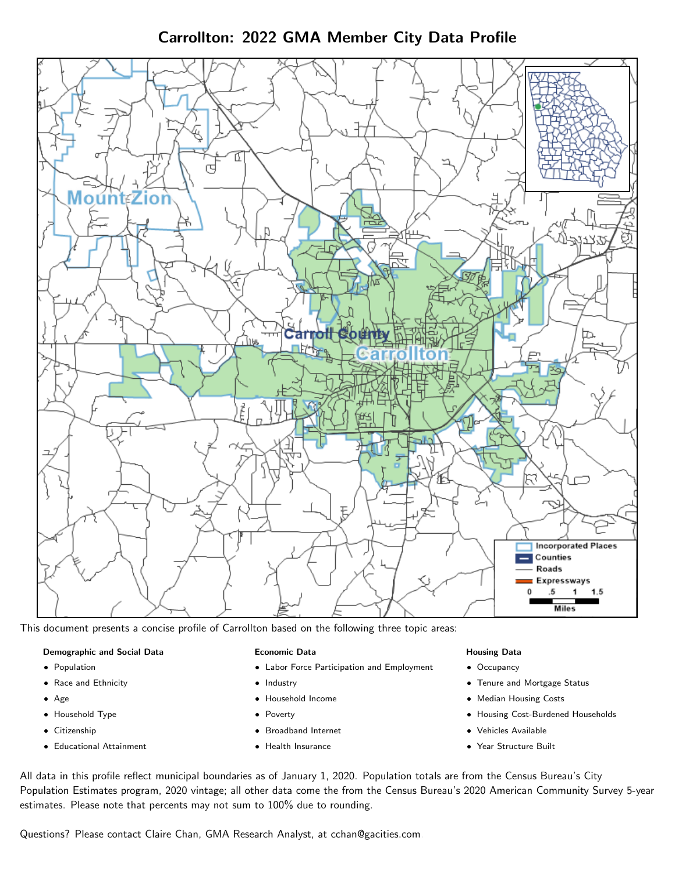Carrollton: 2022 GMA Member City Data Profile



This document presents a concise profile of Carrollton based on the following three topic areas:

## Demographic and Social Data

- **•** Population
- Race and Ethnicity
- Age
- Household Type
- **Citizenship**
- Educational Attainment

## Economic Data

- Labor Force Participation and Employment
- Industry
- Household Income
- Poverty
- Broadband Internet
- Health Insurance

## Housing Data

- Occupancy
- Tenure and Mortgage Status
- Median Housing Costs
- Housing Cost-Burdened Households
- Vehicles Available
- Year Structure Built

All data in this profile reflect municipal boundaries as of January 1, 2020. Population totals are from the Census Bureau's City Population Estimates program, 2020 vintage; all other data come the from the Census Bureau's 2020 American Community Survey 5-year estimates. Please note that percents may not sum to 100% due to rounding.

Questions? Please contact Claire Chan, GMA Research Analyst, at [cchan@gacities.com.](mailto:cchan@gacities.com)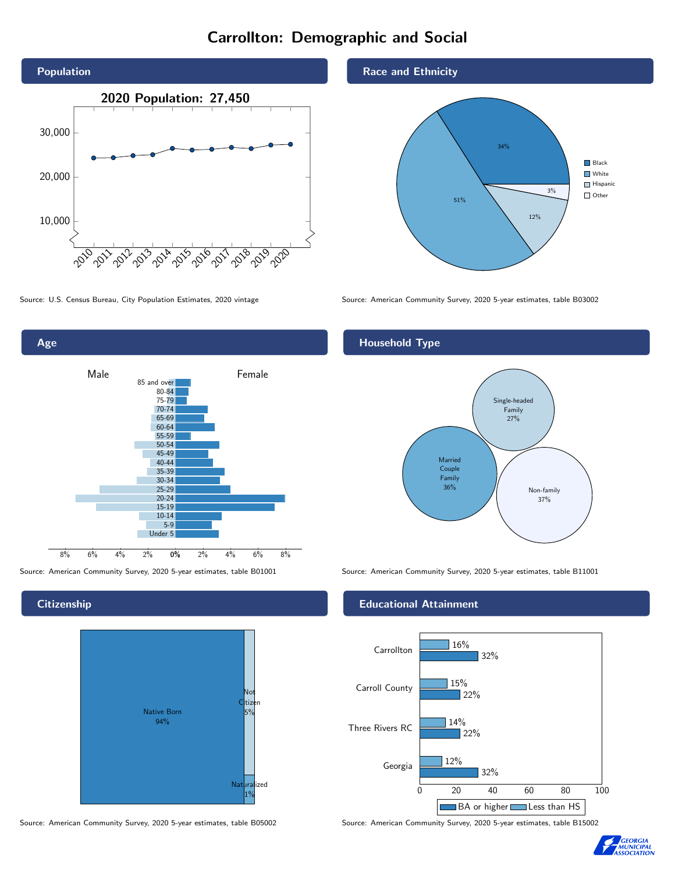# Carrollton: Demographic and Social





**Citizenship** 



Source: American Community Survey, 2020 5-year estimates, table B05002 Source: American Community Survey, 2020 5-year estimates, table B15002

Race and Ethnicity



Source: U.S. Census Bureau, City Population Estimates, 2020 vintage Source: American Community Survey, 2020 5-year estimates, table B03002

# Household Type



Source: American Community Survey, 2020 5-year estimates, table B01001 Source: American Community Survey, 2020 5-year estimates, table B11001

## Educational Attainment



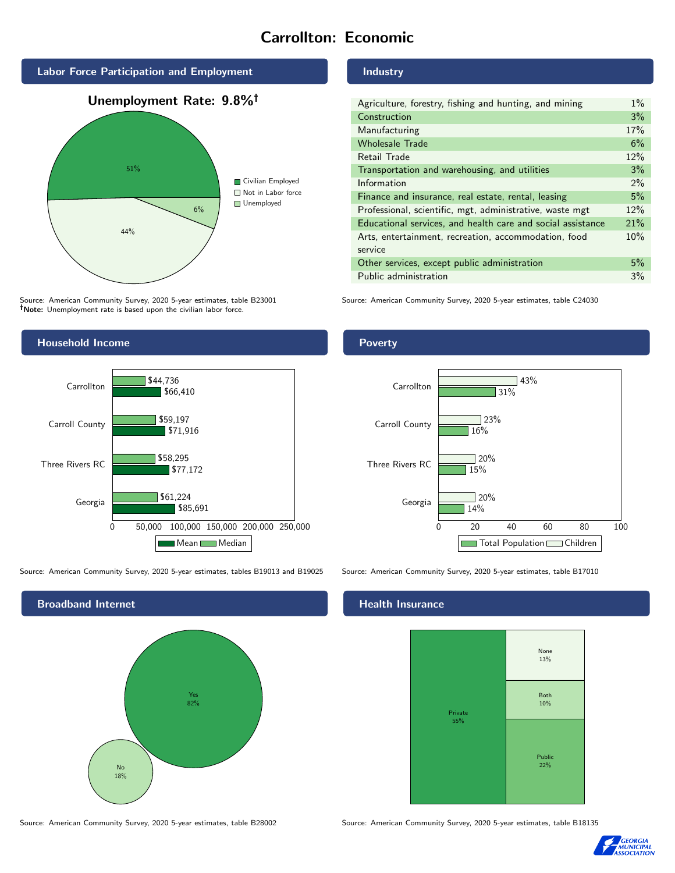# Carrollton: Economic



Source: American Community Survey, 2020 5-year estimates, table B23001 Note: Unemployment rate is based upon the civilian labor force.



Source: American Community Survey, 2020 5-year estimates, tables B19013 and B19025 Source: American Community Survey, 2020 5-year estimates, table B17010



Source: American Community Survey, 2020 5-year estimates, table B28002 Source: American Community Survey, 2020 5-year estimates, table B18135

Industry

| Agriculture, forestry, fishing and hunting, and mining      | $1\%$ |
|-------------------------------------------------------------|-------|
| Construction                                                | 3%    |
| Manufacturing                                               | 17%   |
| <b>Wholesale Trade</b>                                      | 6%    |
| Retail Trade                                                | 12%   |
| Transportation and warehousing, and utilities               | 3%    |
| Information                                                 | $2\%$ |
| Finance and insurance, real estate, rental, leasing         | 5%    |
| Professional, scientific, mgt, administrative, waste mgt    | 12%   |
| Educational services, and health care and social assistance | 21%   |
| Arts, entertainment, recreation, accommodation, food        | 10%   |
| service                                                     |       |
| Other services, except public administration                | 5%    |
| Public administration                                       | 3%    |

Source: American Community Survey, 2020 5-year estimates, table C24030

## Poverty



# **Health Insurance**